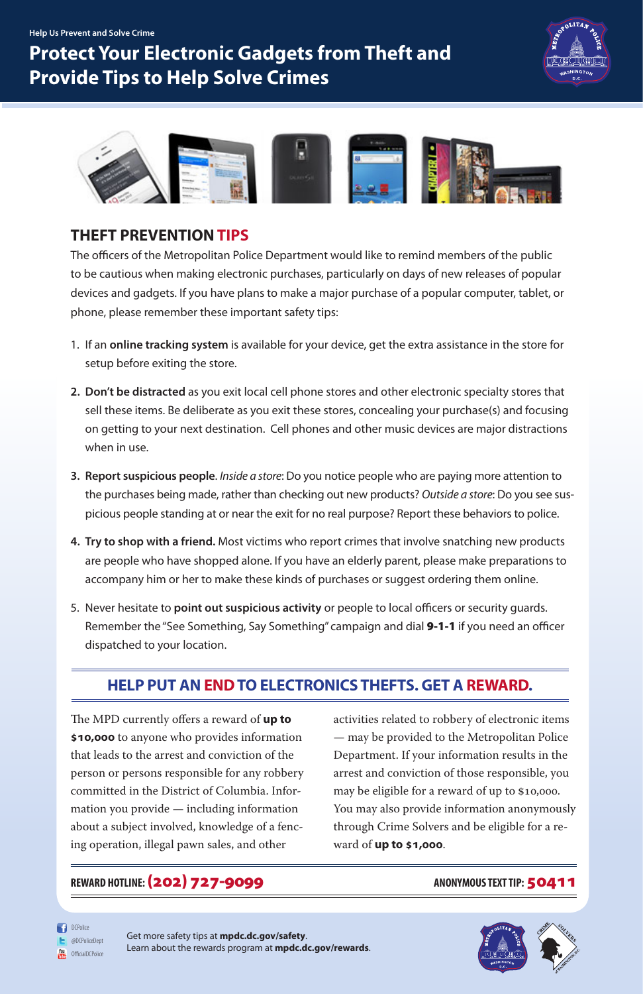## **THEFT PREVENTION TIPS**

The officers of the Metropolitan Police Department would like to remind members of the public to be cautious when making electronic purchases, particularly on days of new releases of popular devices and gadgets. If you have plans to make a major purchase of a popular computer, tablet, or phone, please remember these important safety tips:

- 1. If an **online tracking system** is available for your device, get the extra assistance in the store for setup before exiting the store.
- **2. Don't be distracted** as you exit local cell phone stores and other electronic specialty stores that sell these items. Be deliberate as you exit these stores, concealing your purchase(s) and focusing on getting to your next destination. Cell phones and other music devices are major distractions when in use.
- **3. Report suspicious people**. *Inside a store*: Do you notice people who are paying more attention to the purchases being made, rather than checking out new products? *Outside a store*: Do you see suspicious people standing at or near the exit for no real purpose? Report these behaviors to police.
- **4. Try to shop with a friend.** Most victims who report crimes that involve snatching new products are people who have shopped alone. If you have an elderly parent, please make preparations to accompany him or her to make these kinds of purchases or suggest ordering them online.
- 5. Never hesitate to **point out suspicious activity** or people to local officers or security guards. Remember the "See Something, Say Something" campaign and dial **9-1-1** if you need an officer dispatched to your location.

**Help Us Prevent and Solve Crime**

## **Protect Your Electronic Gadgets from Theft and Provide Tips to Help Solve Crimes**





## **HELP PUT AN END TO ELECTRONICS THEFTS. GET A REWARD.**

The MPD currently offers a reward of **up to** 

**\$10,000** to anyone who provides information that leads to the arrest and conviction of the person or persons responsible for any robbery committed in the District of Columbia. Information you provide — including information about a subject involved, knowledge of a fencing operation, illegal pawn sales, and other

activities related to robbery of electronic items

— may be provided to the Metropolitan Police Department. If your information results in the arrest and conviction of those responsible, you may be eligible for a reward of up to \$10,000. You may also provide information anonymously through Crime Solvers and be eligible for a reward of **up to \$1,000**.

## REWARD HOTLINE: (202) 727-9099 **ANONYMOUS TEXT TIP:** 50411

**DCPolice** @DCPoliceDept **You** OfficialDCPolice

Get more safety tips at **mpdc.dc.gov/safety**. Learn about the rewards program at **mpdc.dc.gov/rewards**.